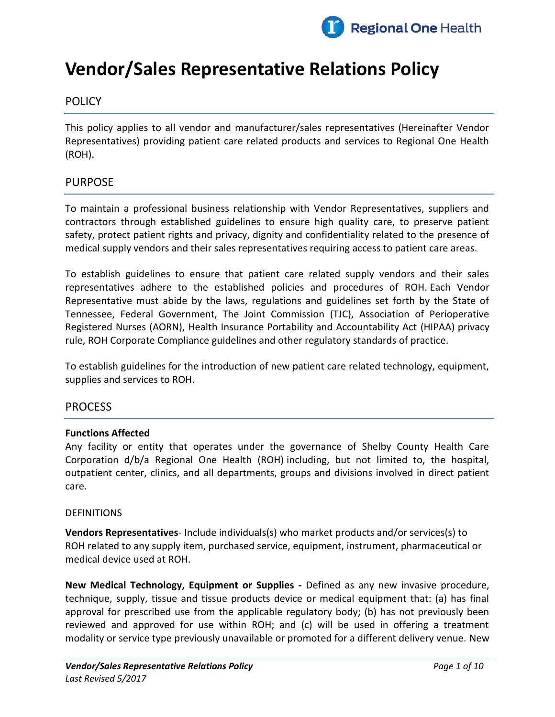

# **Vendor/Sales Representative Relations Policy**

# **POLICY**

This policy applies to all vendor and manufacturer/sales representatives (Hereinafter Vendor Representatives) providing patient care related products and services to Regional One Health (ROH).

# PURPOSE

To maintain a professional business relationship with Vendor Representatives, suppliers and contractors through established guidelines to ensure high quality care, to preserve patient safety, protect patient rights and privacy, dignity and confidentiality related to the presence of medical supply vendors and their sales representatives requiring access to patient care areas.

To establish guidelines to ensure that patient care related supply vendors and their sales representatives adhere to the established policies and procedures of ROH. Each Vendor Representative must abide by the laws, regulations and guidelines set forth by the State of Tennessee, Federal Government, The Joint Commission (TJC), Association of Perioperative Registered Nurses (AORN), Health Insurance Portability and Accountability Act (HIPAA) privacy rule, ROH Corporate Compliance guidelines and other regulatory standards of practice.

To establish guidelines for the introduction of new patient care related technology, equipment, supplies and services to ROH.

## PROCESS

#### **Functions Affected**

Any facility or entity that operates under the governance of Shelby County Health Care Corporation d/b/a Regional One Health (ROH) including, but not limited to, the hospital, outpatient center, clinics, and all departments, groups and divisions involved in direct patient care.

#### DEFINITIONS

**Vendors Representatives**- Include individuals(s) who market products and/or services(s) to ROH related to any supply item, purchased service, equipment, instrument, pharmaceutical or medical device used at ROH.

**New Medical Technology, Equipment or Supplies -** Defined as any new invasive procedure, technique, supply, tissue and tissue products device or medical equipment that: (a) has final approval for prescribed use from the applicable regulatory body; (b) has not previously been reviewed and approved for use within ROH; and (c) will be used in offering a treatment modality or service type previously unavailable or promoted for a different delivery venue. New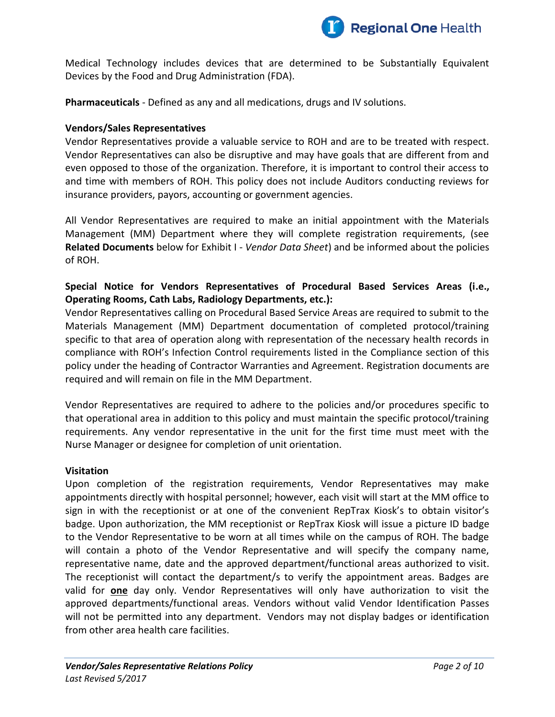

Medical Technology includes devices that are determined to be Substantially Equivalent Devices by the Food and Drug Administration (FDA).

**Pharmaceuticals** - Defined as any and all medications, drugs and IV solutions.

## **Vendors/Sales Representatives**

Vendor Representatives provide a valuable service to ROH and are to be treated with respect. Vendor Representatives can also be disruptive and may have goals that are different from and even opposed to those of the organization. Therefore, it is important to control their access to and time with members of ROH. This policy does not include Auditors conducting reviews for insurance providers, payors, accounting or government agencies.

All Vendor Representatives are required to make an initial appointment with the Materials Management (MM) Department where they will complete registration requirements, (see **Related Documents** below for Exhibit I - *Vendor Data Sheet*) and be informed about the policies of ROH.

# **Special Notice for Vendors Representatives of Procedural Based Services Areas (i.e., Operating Rooms, Cath Labs, Radiology Departments, etc.):**

Vendor Representatives calling on Procedural Based Service Areas are required to submit to the Materials Management (MM) Department documentation of completed protocol/training specific to that area of operation along with representation of the necessary health records in compliance with ROH's Infection Control requirements listed in the Compliance section of this policy under the heading of Contractor Warranties and Agreement. Registration documents are required and will remain on file in the MM Department.

Vendor Representatives are required to adhere to the policies and/or procedures specific to that operational area in addition to this policy and must maintain the specific protocol/training requirements. Any vendor representative in the unit for the first time must meet with the Nurse Manager or designee for completion of unit orientation.

#### **Visitation**

Upon completion of the registration requirements, Vendor Representatives may make appointments directly with hospital personnel; however, each visit will start at the MM office to sign in with the receptionist or at one of the convenient RepTrax Kiosk's to obtain visitor's badge. Upon authorization, the MM receptionist or RepTrax Kiosk will issue a picture ID badge to the Vendor Representative to be worn at all times while on the campus of ROH. The badge will contain a photo of the Vendor Representative and will specify the company name, representative name, date and the approved department/functional areas authorized to visit. The receptionist will contact the department/s to verify the appointment areas. Badges are valid for **one** day only. Vendor Representatives will only have authorization to visit the approved departments/functional areas. Vendors without valid Vendor Identification Passes will not be permitted into any department. Vendors may not display badges or identification from other area health care facilities.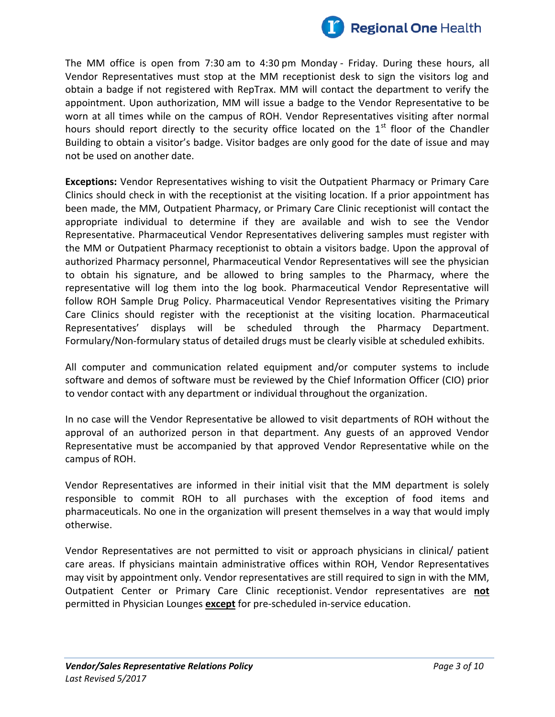

The MM office is open from 7:30 am to 4:30 pm Monday - Friday. During these hours, all Vendor Representatives must stop at the MM receptionist desk to sign the visitors log and obtain a badge if not registered with RepTrax. MM will contact the department to verify the appointment. Upon authorization, MM will issue a badge to the Vendor Representative to be worn at all times while on the campus of ROH. Vendor Representatives visiting after normal hours should report directly to the security office located on the 1<sup>st</sup> floor of the Chandler Building to obtain a visitor's badge. Visitor badges are only good for the date of issue and may not be used on another date.

**Exceptions:** Vendor Representatives wishing to visit the Outpatient Pharmacy or Primary Care Clinics should check in with the receptionist at the visiting location. If a prior appointment has been made, the MM, Outpatient Pharmacy, or Primary Care Clinic receptionist will contact the appropriate individual to determine if they are available and wish to see the Vendor Representative. Pharmaceutical Vendor Representatives delivering samples must register with the MM or Outpatient Pharmacy receptionist to obtain a visitors badge. Upon the approval of authorized Pharmacy personnel, Pharmaceutical Vendor Representatives will see the physician to obtain his signature, and be allowed to bring samples to the Pharmacy, where the representative will log them into the log book. Pharmaceutical Vendor Representative will follow ROH Sample Drug Policy. Pharmaceutical Vendor Representatives visiting the Primary Care Clinics should register with the receptionist at the visiting location. Pharmaceutical Representatives' displays will be scheduled through the Pharmacy Department. Formulary/Non-formulary status of detailed drugs must be clearly visible at scheduled exhibits.

All computer and communication related equipment and/or computer systems to include software and demos of software must be reviewed by the Chief Information Officer (CIO) prior to vendor contact with any department or individual throughout the organization.

In no case will the Vendor Representative be allowed to visit departments of ROH without the approval of an authorized person in that department. Any guests of an approved Vendor Representative must be accompanied by that approved Vendor Representative while on the campus of ROH.

Vendor Representatives are informed in their initial visit that the MM department is solely responsible to commit ROH to all purchases with the exception of food items and pharmaceuticals. No one in the organization will present themselves in a way that would imply otherwise.

Vendor Representatives are not permitted to visit or approach physicians in clinical/ patient care areas. If physicians maintain administrative offices within ROH, Vendor Representatives may visit by appointment only. Vendor representatives are still required to sign in with the MM, Outpatient Center or Primary Care Clinic receptionist. Vendor representatives are **not** permitted in Physician Lounges **except** for pre-scheduled in-service education.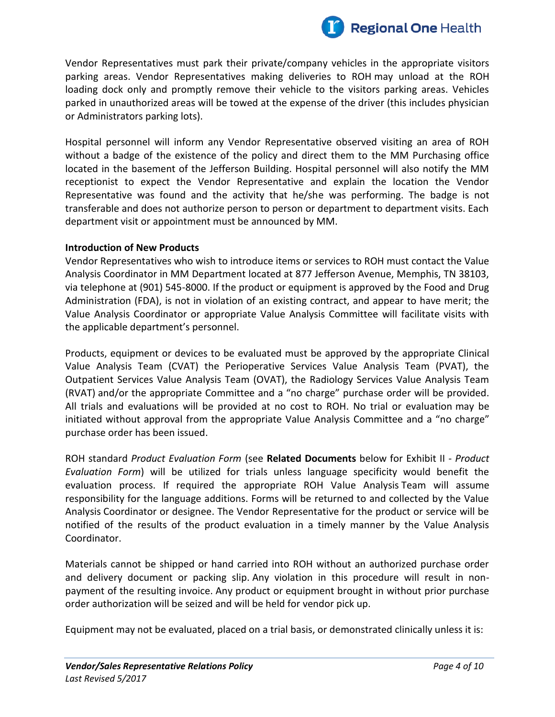

Vendor Representatives must park their private/company vehicles in the appropriate visitors parking areas. Vendor Representatives making deliveries to ROH may unload at the ROH loading dock only and promptly remove their vehicle to the visitors parking areas. Vehicles parked in unauthorized areas will be towed at the expense of the driver (this includes physician or Administrators parking lots).

Hospital personnel will inform any Vendor Representative observed visiting an area of ROH without a badge of the existence of the policy and direct them to the MM Purchasing office located in the basement of the Jefferson Building. Hospital personnel will also notify the MM receptionist to expect the Vendor Representative and explain the location the Vendor Representative was found and the activity that he/she was performing. The badge is not transferable and does not authorize person to person or department to department visits. Each department visit or appointment must be announced by MM.

#### **Introduction of New Products**

Vendor Representatives who wish to introduce items or services to ROH must contact the Value Analysis Coordinator in MM Department located at 877 Jefferson Avenue, Memphis, TN 38103, via telephone at (901) 545-8000. If the product or equipment is approved by the Food and Drug Administration (FDA), is not in violation of an existing contract, and appear to have merit; the Value Analysis Coordinator or appropriate Value Analysis Committee will facilitate visits with the applicable department's personnel.

Products, equipment or devices to be evaluated must be approved by the appropriate Clinical Value Analysis Team (CVAT) the Perioperative Services Value Analysis Team (PVAT), the Outpatient Services Value Analysis Team (OVAT), the Radiology Services Value Analysis Team (RVAT) and/or the appropriate Committee and a "no charge" purchase order will be provided. All trials and evaluations will be provided at no cost to ROH. No trial or evaluation may be initiated without approval from the appropriate Value Analysis Committee and a "no charge" purchase order has been issued.

ROH standard *Product Evaluation Form* (see **Related Documents** below for Exhibit II - *Product Evaluation Form*) will be utilized for trials unless language specificity would benefit the evaluation process. If required the appropriate ROH Value Analysis Team will assume responsibility for the language additions. Forms will be returned to and collected by the Value Analysis Coordinator or designee. The Vendor Representative for the product or service will be notified of the results of the product evaluation in a timely manner by the Value Analysis Coordinator.

Materials cannot be shipped or hand carried into ROH without an authorized purchase order and delivery document or packing slip. Any violation in this procedure will result in nonpayment of the resulting invoice. Any product or equipment brought in without prior purchase order authorization will be seized and will be held for vendor pick up.

Equipment may not be evaluated, placed on a trial basis, or demonstrated clinically unless it is: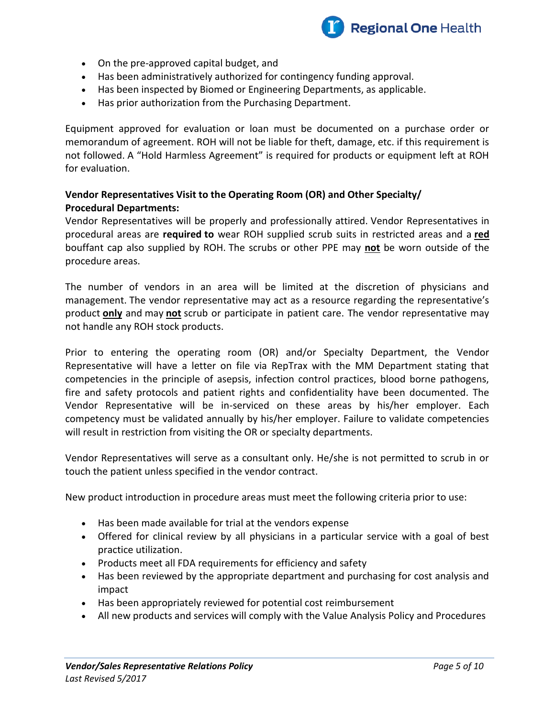

- On the pre-approved capital budget, and
- Has been administratively authorized for contingency funding approval.
- Has been inspected by Biomed or Engineering Departments, as applicable.
- Has prior authorization from the Purchasing Department.

Equipment approved for evaluation or loan must be documented on a purchase order or memorandum of agreement. ROH will not be liable for theft, damage, etc. if this requirement is not followed. A "Hold Harmless Agreement" is required for products or equipment left at ROH for evaluation.

## **Vendor Representatives Visit to the Operating Room (OR) and Other Specialty/ Procedural Departments:**

Vendor Representatives will be properly and professionally attired. Vendor Representatives in procedural areas are **required to** wear ROH supplied scrub suits in restricted areas and a **red**  bouffant cap also supplied by ROH. The scrubs or other PPE may **not** be worn outside of the procedure areas.

The number of vendors in an area will be limited at the discretion of physicians and management. The vendor representative may act as a resource regarding the representative's product **only** and may **not** scrub or participate in patient care. The vendor representative may not handle any ROH stock products.

Prior to entering the operating room (OR) and/or Specialty Department, the Vendor Representative will have a letter on file via RepTrax with the MM Department stating that competencies in the principle of asepsis, infection control practices, blood borne pathogens, fire and safety protocols and patient rights and confidentiality have been documented. The Vendor Representative will be in-serviced on these areas by his/her employer. Each competency must be validated annually by his/her employer. Failure to validate competencies will result in restriction from visiting the OR or specialty departments.

Vendor Representatives will serve as a consultant only. He/she is not permitted to scrub in or touch the patient unless specified in the vendor contract.

New product introduction in procedure areas must meet the following criteria prior to use:

- Has been made available for trial at the vendors expense
- Offered for clinical review by all physicians in a particular service with a goal of best practice utilization.
- Products meet all FDA requirements for efficiency and safety
- Has been reviewed by the appropriate department and purchasing for cost analysis and impact
- Has been appropriately reviewed for potential cost reimbursement
- All new products and services will comply with the Value Analysis Policy and Procedures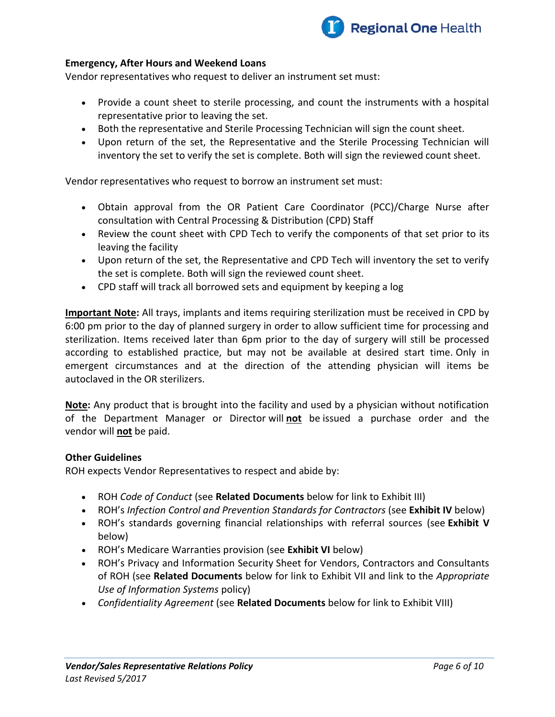

#### **Emergency, After Hours and Weekend Loans**

Vendor representatives who request to deliver an instrument set must:

- Provide a count sheet to sterile processing, and count the instruments with a hospital representative prior to leaving the set.
- Both the representative and Sterile Processing Technician will sign the count sheet.
- Upon return of the set, the Representative and the Sterile Processing Technician will inventory the set to verify the set is complete. Both will sign the reviewed count sheet.

Vendor representatives who request to borrow an instrument set must:

- Obtain approval from the OR Patient Care Coordinator (PCC)/Charge Nurse after consultation with Central Processing & Distribution (CPD) Staff
- Review the count sheet with CPD Tech to verify the components of that set prior to its leaving the facility
- Upon return of the set, the Representative and CPD Tech will inventory the set to verify the set is complete. Both will sign the reviewed count sheet.
- CPD staff will track all borrowed sets and equipment by keeping a log

**Important Note:** All trays, implants and items requiring sterilization must be received in CPD by 6:00 pm prior to the day of planned surgery in order to allow sufficient time for processing and sterilization. Items received later than 6pm prior to the day of surgery will still be processed according to established practice, but may not be available at desired start time. Only in emergent circumstances and at the direction of the attending physician will items be autoclaved in the OR sterilizers.

**Note:** Any product that is brought into the facility and used by a physician without notification of the Department Manager or Director will **not** be issued a purchase order and the vendor will **not** be paid.

#### **Other Guidelines**

ROH expects Vendor Representatives to respect and abide by:

- ROH *Code of Conduct* (see **Related Documents** below for link to Exhibit III)
- ROH's *Infection Control and Prevention Standards for Contractors* (see **Exhibit IV** below)
- ROH's standards governing financial relationships with referral sources (see **Exhibit V** below)
- ROH's Medicare Warranties provision (see **Exhibit VI** below)
- ROH's Privacy and Information Security Sheet for Vendors, Contractors and Consultants of ROH (see **Related Documents** below for link to Exhibit VII and link to the *Appropriate Use of Information Systems* policy)
- *Confidentiality Agreement* (see **Related Documents** below for link to Exhibit VIII)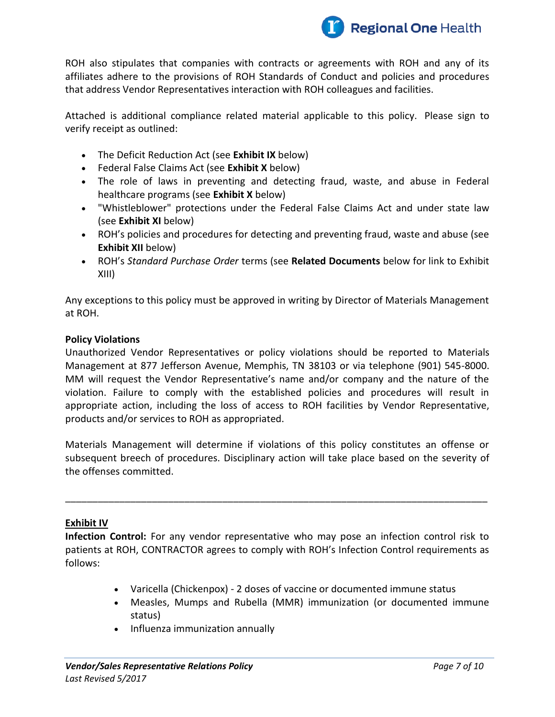

ROH also stipulates that companies with contracts or agreements with ROH and any of its affiliates adhere to the provisions of ROH Standards of Conduct and policies and procedures that address Vendor Representatives interaction with ROH colleagues and facilities.

Attached is additional compliance related material applicable to this policy. Please sign to verify receipt as outlined:

- The Deficit Reduction Act (see **Exhibit IX** below)
- Federal False Claims Act (see **Exhibit X** below)
- The role of laws in preventing and detecting fraud, waste, and abuse in Federal healthcare programs (see **Exhibit X** below)
- "Whistleblower" protections under the Federal False Claims Act and under state law (see **Exhibit XI** below)
- ROH's policies and procedures for detecting and preventing fraud, waste and abuse (see **Exhibit XII** below)
- ROH's *Standard Purchase Order* terms (see **Related Documents** below for link to Exhibit XIII)

Any exceptions to this policy must be approved in writing by Director of Materials Management at ROH.

## **Policy Violations**

Unauthorized Vendor Representatives or policy violations should be reported to Materials Management at 877 Jefferson Avenue, Memphis, TN 38103 or via telephone (901) 545-8000. MM will request the Vendor Representative's name and/or company and the nature of the violation. Failure to comply with the established policies and procedures will result in appropriate action, including the loss of access to ROH facilities by Vendor Representative, products and/or services to ROH as appropriated.

Materials Management will determine if violations of this policy constitutes an offense or subsequent breech of procedures. Disciplinary action will take place based on the severity of the offenses committed.

\_\_\_\_\_\_\_\_\_\_\_\_\_\_\_\_\_\_\_\_\_\_\_\_\_\_\_\_\_\_\_\_\_\_\_\_\_\_\_\_\_\_\_\_\_\_\_\_\_\_\_\_\_\_\_\_\_\_\_\_\_\_\_\_\_\_\_\_\_\_\_\_\_\_\_\_\_\_

## **Exhibit IV**

**Infection Control:** For any vendor representative who may pose an infection control risk to patients at ROH, CONTRACTOR agrees to comply with ROH's Infection Control requirements as follows:

- Varicella (Chickenpox) 2 doses of vaccine or documented immune status
- Measles, Mumps and Rubella (MMR) immunization (or documented immune status)
- Influenza immunization annually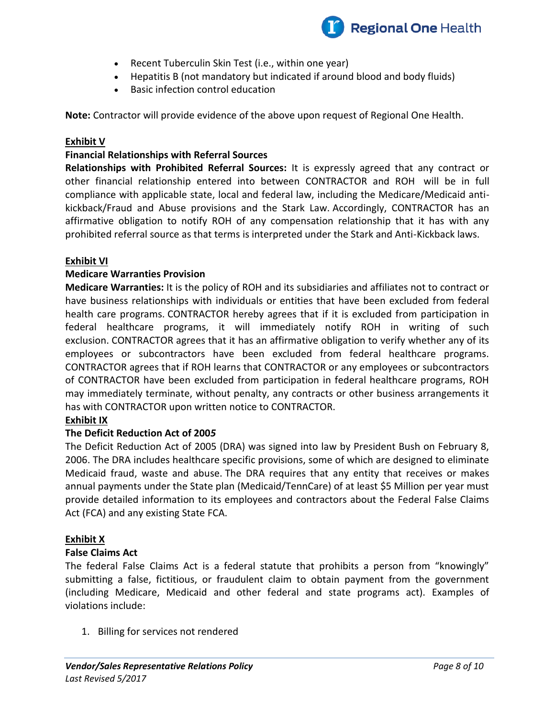

- Recent Tuberculin Skin Test (i.e., within one year)
- Hepatitis B (not mandatory but indicated if around blood and body fluids)
- Basic infection control education

**Note:** Contractor will provide evidence of the above upon request of Regional One Health.

## **Exhibit V**

## **Financial Relationships with Referral Sources**

**Relationships with Prohibited Referral Sources:** It is expressly agreed that any contract or other financial relationship entered into between CONTRACTOR and ROH will be in full compliance with applicable state, local and federal law, including the Medicare/Medicaid antikickback/Fraud and Abuse provisions and the Stark Law. Accordingly, CONTRACTOR has an affirmative obligation to notify ROH of any compensation relationship that it has with any prohibited referral source as that terms is interpreted under the Stark and Anti-Kickback laws.

#### **Exhibit VI**

## **Medicare Warranties Provision**

**Medicare Warranties:** It is the policy of ROH and its subsidiaries and affiliates not to contract or have business relationships with individuals or entities that have been excluded from federal health care programs. CONTRACTOR hereby agrees that if it is excluded from participation in federal healthcare programs, it will immediately notify ROH in writing of such exclusion. CONTRACTOR agrees that it has an affirmative obligation to verify whether any of its employees or subcontractors have been excluded from federal healthcare programs. CONTRACTOR agrees that if ROH learns that CONTRACTOR or any employees or subcontractors of CONTRACTOR have been excluded from participation in federal healthcare programs, ROH may immediately terminate, without penalty, any contracts or other business arrangements it has with CONTRACTOR upon written notice to CONTRACTOR.

#### **Exhibit IX**

#### **The Deficit Reduction Act of 200***5*

The Deficit Reduction Act of 2005 (DRA) was signed into law by President Bush on February 8, 2006. The DRA includes healthcare specific provisions, some of which are designed to eliminate Medicaid fraud, waste and abuse. The DRA requires that any entity that receives or makes annual payments under the State plan (Medicaid/TennCare) of at least \$5 Million per year must provide detailed information to its employees and contractors about the Federal False Claims Act (FCA) and any existing State FCA.

#### **Exhibit X**

#### **False Claims Act**

The federal False Claims Act is a federal statute that prohibits a person from "knowingly" submitting a false, fictitious, or fraudulent claim to obtain payment from the government (including Medicare, Medicaid and other federal and state programs act). Examples of violations include:

1. Billing for services not rendered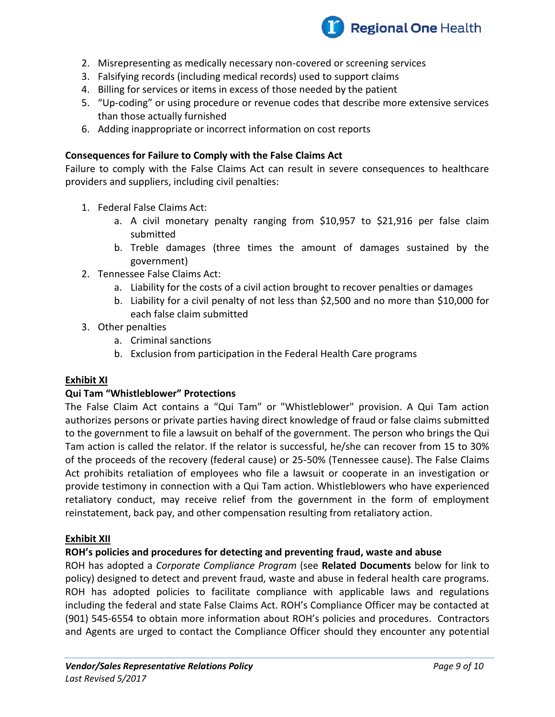

- 2. Misrepresenting as medically necessary non-covered or screening services
- 3. Falsifying records (including medical records) used to support claims
- 4. Billing for services or items in excess of those needed by the patient
- 5. "Up-coding" or using procedure or revenue codes that describe more extensive services than those actually furnished
- 6. Adding inappropriate or incorrect information on cost reports

#### **Consequences for Failure to Comply with the False Claims Act**

Failure to comply with the False Claims Act can result in severe consequences to healthcare providers and suppliers, including civil penalties:

- 1. Federal False Claims Act:
	- a. A civil monetary penalty ranging from \$10,957 to \$21,916 per false claim submitted
	- b. Treble damages (three times the amount of damages sustained by the government)
- 2. Tennessee False Claims Act:
	- a. Liability for the costs of a civil action brought to recover penalties or damages
	- b. Liability for a civil penalty of not less than \$2,500 and no more than \$10,000 for each false claim submitted
- 3. Other penalties
	- a. Criminal sanctions
	- b. Exclusion from participation in the Federal Health Care programs

#### **Exhibit XI**

#### **Qui Tam "Whistleblower" Protections**

The False Claim Act contains a "Qui Tam" or "Whistleblower" provision. A Qui Tam action authorizes persons or private parties having direct knowledge of fraud or false claims submitted to the government to file a lawsuit on behalf of the government. The person who brings the Qui Tam action is called the relator. If the relator is successful, he/she can recover from 15 to 30% of the proceeds of the recovery (federal cause) or 25-50% (Tennessee cause). The False Claims Act prohibits retaliation of employees who file a lawsuit or cooperate in an investigation or provide testimony in connection with a Qui Tam action. Whistleblowers who have experienced retaliatory conduct, may receive relief from the government in the form of employment reinstatement, back pay, and other compensation resulting from retaliatory action.

#### **Exhibit XII**

#### **ROH's policies and procedures for detecting and preventing fraud, waste and abuse**

ROH has adopted a *Corporate Compliance Program* (see **Related Documents** below for link to policy) designed to detect and prevent fraud, waste and abuse in federal health care programs. ROH has adopted policies to facilitate compliance with applicable laws and regulations including the federal and state False Claims Act. ROH's Compliance Officer may be contacted at (901) 545-6554 to obtain more information about ROH's policies and procedures. Contractors and Agents are urged to contact the Compliance Officer should they encounter any potential